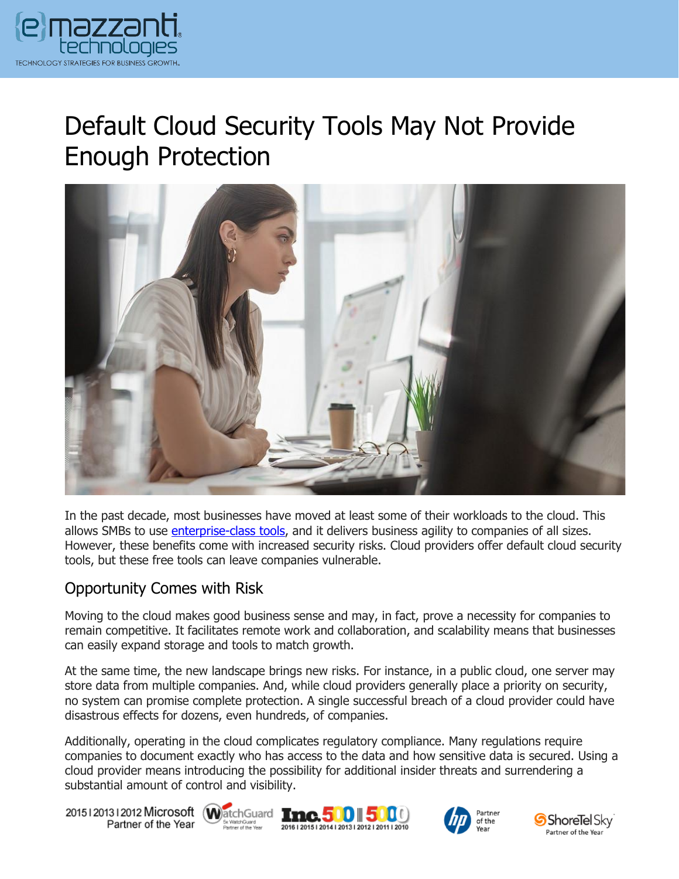

# Default Cloud Security Tools May Not Provide Enough Protection



In the past decade, most businesses have moved at least some of their workloads to the cloud. This allows SMBs to use *enterprise-class tools*, and it delivers business agility to companies of all sizes. However, these benefits come with increased security risks. Cloud providers offer default cloud security tools, but these free tools can leave companies vulnerable.

# Opportunity Comes with Risk

Moving to the cloud makes good business sense and may, in fact, prove a necessity for companies to remain competitive. It facilitates remote work and collaboration, and scalability means that businesses can easily expand storage and tools to match growth.

At the same time, the new landscape brings new risks. For instance, in a public cloud, one server may store data from multiple companies. And, while cloud providers generally place a priority on security, no system can promise complete protection. A single successful breach of a cloud provider could have disastrous effects for dozens, even hundreds, of companies.

Additionally, operating in the cloud complicates regulatory compliance. Many regulations require companies to document exactly who has access to the data and how sensitive data is secured. Using a cloud provider means introducing the possibility for additional insider threats and surrendering a substantial amount of control and visibility.

20151201312012 Microsoft WatchGuard Tnc. 500 500 Partner of the Year







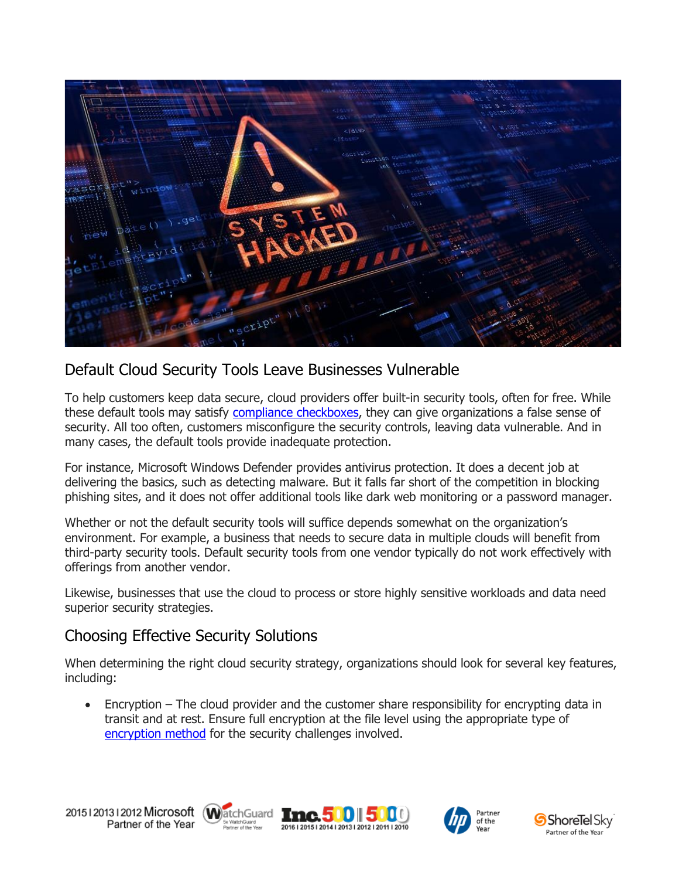

# Default Cloud Security Tools Leave Businesses Vulnerable

To help customers keep data secure, cloud providers offer built-in security tools, often for free. While these default tools may satisfy [compliance checkboxes,](https://www.emazzanti.net/compliance-checkbox-cybersecurity/) they can give organizations a false sense of security. All too often, customers misconfigure the security controls, leaving data vulnerable. And in many cases, the default tools provide inadequate protection.

For instance, Microsoft Windows Defender provides antivirus protection. It does a decent job at delivering the basics, such as detecting malware. But it falls far short of the competition in blocking phishing sites, and it does not offer additional tools like dark web monitoring or a password manager.

Whether or not the default security tools will suffice depends somewhat on the organization's environment. For example, a business that needs to secure data in multiple clouds will benefit from third-party security tools. Default security tools from one vendor typically do not work effectively with offerings from another vendor.

Likewise, businesses that use the cloud to process or store highly sensitive workloads and data need superior security strategies.

# Choosing Effective Security Solutions

When determining the right cloud security strategy, organizations should look for several key features, including:

• Encryption – The cloud provider and the customer share responsibility for encrypting data in transit and at rest. Ensure full encryption at the file level using the appropriate type of [encryption method](https://messagingarchitects.com/advancements-in-data-encryption/) for the security challenges involved.